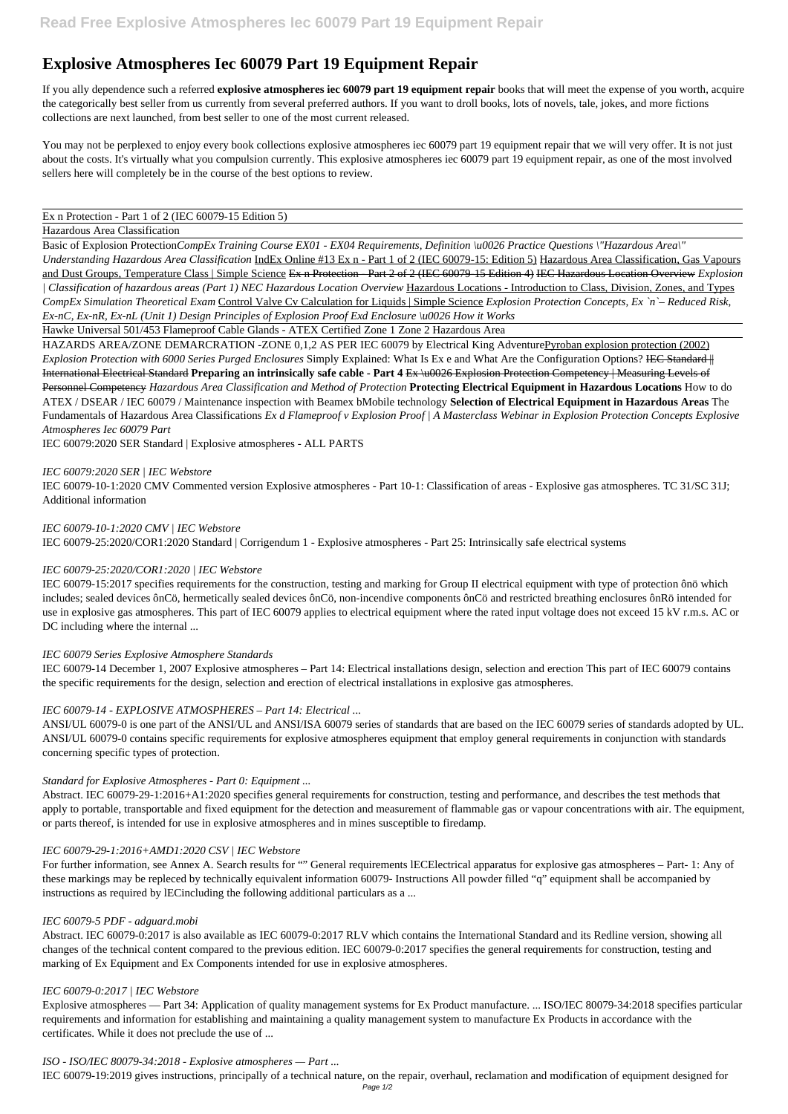# **Explosive Atmospheres Iec 60079 Part 19 Equipment Repair**

If you ally dependence such a referred **explosive atmospheres iec 60079 part 19 equipment repair** books that will meet the expense of you worth, acquire the categorically best seller from us currently from several preferred authors. If you want to droll books, lots of novels, tale, jokes, and more fictions collections are next launched, from best seller to one of the most current released.

You may not be perplexed to enjoy every book collections explosive atmospheres iec 60079 part 19 equipment repair that we will very offer. It is not just about the costs. It's virtually what you compulsion currently. This explosive atmospheres iec 60079 part 19 equipment repair, as one of the most involved sellers here will completely be in the course of the best options to review.

## Ex n Protection - Part 1 of 2 (IEC 60079-15 Edition 5)

## Hazardous Area Classification

Basic of Explosion Protection*CompEx Training Course EX01 - EX04 Requirements, Definition \u0026 Practice Questions \"Hazardous Area\" Understanding Hazardous Area Classification* IndEx Online #13 Ex n - Part 1 of 2 (IEC 60079-15: Edition 5) Hazardous Area Classification, Gas Vapours and Dust Groups, Temperature Class | Simple Science Ex n Protection - Part 2 of 2 (IEC 60079-15 Edition 4) IEC Hazardous Location Overview *Explosion | Classification of hazardous areas (Part 1) NEC Hazardous Location Overview* Hazardous Locations - Introduction to Class, Division, Zones, and Types *CompEx Simulation Theoretical Exam* Control Valve Cv Calculation for Liquids | Simple Science *Explosion Protection Concepts, Ex `n`– Reduced Risk, Ex-nC, Ex-nR, Ex-nL (Unit 1) Design Principles of Explosion Proof Exd Enclosure \u0026 How it Works*

IEC 60079-15:2017 specifies requirements for the construction, testing and marking for Group II electrical equipment with type of protection ônö which includes; sealed devices ônCö, hermetically sealed devices ônCö, non-incendive components ônCö and restricted breathing enclosures ônRö intended for use in explosive gas atmospheres. This part of IEC 60079 applies to electrical equipment where the rated input voltage does not exceed 15 kV r.m.s. AC or DC including where the internal ...

Hawke Universal 501/453 Flameproof Cable Glands - ATEX Certified Zone 1 Zone 2 Hazardous Area

HAZARDS AREA/ZONE DEMARCRATION -ZONE 0,1,2 AS PER IEC 60079 by Electrical King AdventurePyroban explosion protection (2002) *Explosion Protection with 6000 Series Purged Enclosures* Simply Explained: What Is Ex e and What Are the Configuration Options? IEC Standard || International Electrical Standard **Preparing an intrinsically safe cable - Part 4** Ex \u0026 Explosion Protection Competency | Measuring Levels of Personnel Competency *Hazardous Area Classification and Method of Protection* **Protecting Electrical Equipment in Hazardous Locations** How to do ATEX / DSEAR / IEC 60079 / Maintenance inspection with Beamex bMobile technology **Selection of Electrical Equipment in Hazardous Areas** The Fundamentals of Hazardous Area Classifications *Ex d Flameproof v Explosion Proof | A Masterclass Webinar in Explosion Protection Concepts Explosive Atmospheres Iec 60079 Part*

For further information, see Annex A. Search results for "" General requirements lECElectrical apparatus for explosive gas atmospheres – Part- 1: Any of these markings may be repleced by technically equivalent information 60079- Instructions All powder filled "q" equipment shall be accompanied by instructions as required by lECincluding the following additional particulars as a ...

IEC 60079:2020 SER Standard | Explosive atmospheres - ALL PARTS

# *IEC 60079:2020 SER | IEC Webstore*

IEC 60079-10-1:2020 CMV Commented version Explosive atmospheres - Part 10-1: Classification of areas - Explosive gas atmospheres. TC 31/SC 31J; Additional information

*IEC 60079-10-1:2020 CMV | IEC Webstore* IEC 60079-25:2020/COR1:2020 Standard | Corrigendum 1 - Explosive atmospheres - Part 25: Intrinsically safe electrical systems

# *IEC 60079-25:2020/COR1:2020 | IEC Webstore*

## *IEC 60079 Series Explosive Atmosphere Standards*

IEC 60079-14 December 1, 2007 Explosive atmospheres – Part 14: Electrical installations design, selection and erection This part of IEC 60079 contains the specific requirements for the design, selection and erection of electrical installations in explosive gas atmospheres.

# *IEC 60079-14 - EXPLOSIVE ATMOSPHERES – Part 14: Electrical ...*

ANSI/UL 60079-0 is one part of the ANSI/UL and ANSI/ISA 60079 series of standards that are based on the IEC 60079 series of standards adopted by UL. ANSI/UL 60079-0 contains specific requirements for explosive atmospheres equipment that employ general requirements in conjunction with standards concerning specific types of protection.

# *Standard for Explosive Atmospheres - Part 0: Equipment ...*

Abstract. IEC 60079-29-1:2016+A1:2020 specifies general requirements for construction, testing and performance, and describes the test methods that apply to portable, transportable and fixed equipment for the detection and measurement of flammable gas or vapour concentrations with air. The equipment, or parts thereof, is intended for use in explosive atmospheres and in mines susceptible to firedamp.

#### *IEC 60079-29-1:2016+AMD1:2020 CSV | IEC Webstore*

#### *IEC 60079-5 PDF - adguard.mobi*

Abstract. IEC 60079-0:2017 is also available as IEC 60079-0:2017 RLV which contains the International Standard and its Redline version, showing all changes of the technical content compared to the previous edition. IEC 60079-0:2017 specifies the general requirements for construction, testing and marking of Ex Equipment and Ex Components intended for use in explosive atmospheres.

#### *IEC 60079-0:2017 | IEC Webstore*

Explosive atmospheres — Part 34: Application of quality management systems for Ex Product manufacture. ... ISO/IEC 80079-34:2018 specifies particular requirements and information for establishing and maintaining a quality management system to manufacture Ex Products in accordance with the certificates. While it does not preclude the use of ...

*ISO - ISO/IEC 80079-34:2018 - Explosive atmospheres — Part ...*

IEC 60079-19:2019 gives instructions, principally of a technical nature, on the repair, overhaul, reclamation and modification of equipment designed for Page 1/2